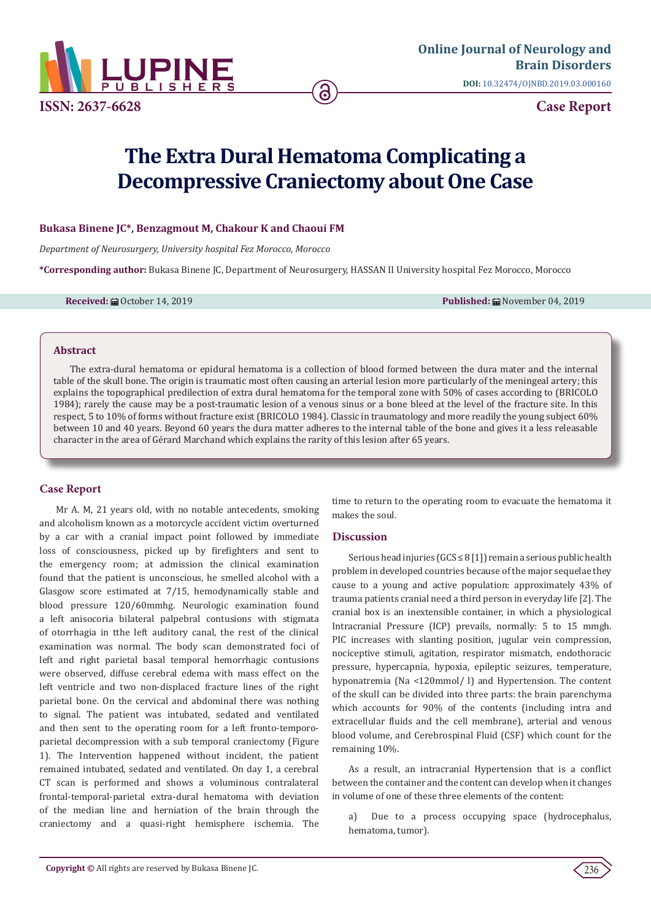

# **The Extra Dural Hematoma Complicating a Decompressive Craniectomy about One Case**

# **Bukasa Binene JC\*, Benzagmout M, Chakour K and Chaoui FM**

*Department of Neurosurgery, University hospital Fez Morocco, Morocco*

**\*Corresponding author:** Bukasa Binene JC, Department of Neurosurgery, HASSAN II University hospital Fez Morocco, Morocco

**Received:** ■ October 14, 2019 **Published:** ■ November 04, 2019

#### **Abstract**

The extra-dural hematoma or epidural hematoma is a collection of blood formed between the dura mater and the internal table of the skull bone. The origin is traumatic most often causing an arterial lesion more particularly of the meningeal artery; this explains the topographical predilection of extra dural hematoma for the temporal zone with 50% of cases according to (BRICOLO 1984); rarely the cause may be a post-traumatic lesion of a venous sinus or a bone bleed at the level of the fracture site. In this respect, 5 to 10% of forms without fracture exist (BRICOLO 1984). Classic in traumatology and more readily the young subject 60% between 10 and 40 years. Beyond 60 years the dura matter adheres to the internal table of the bone and gives it a less releasable character in the area of Gérard Marchand which explains the rarity of this lesion after 65 years.

# **Case Report**

Mr A. M, 21 years old, with no notable antecedents, smoking and alcoholism known as a motorcycle accident victim overturned by a car with a cranial impact point followed by immediate loss of consciousness, picked up by firefighters and sent to the emergency room; at admission the clinical examination found that the patient is unconscious, he smelled alcohol with a Glasgow score estimated at 7/15, hemodynamically stable and blood pressure 120/60mmhg. Neurologic examination found a left anisocoria bilateral palpebral contusions with stigmata of otorrhagia in tthe left auditory canal, the rest of the clinical examination was normal. The body scan demonstrated foci of left and right parietal basal temporal hemorrhagic contusions were observed, diffuse cerebral edema with mass effect on the left ventricle and two non-displaced fracture lines of the right parietal bone. On the cervical and abdominal there was nothing to signal. The patient was intubated, sedated and ventilated and then sent to the operating room for a left fronto-temporoparietal decompression with a sub temporal craniectomy (Figure 1). The Intervention happened without incident, the patient remained intubated, sedated and ventilated. On day 1, a cerebral CT scan is performed and shows a voluminous contralateral frontal-temporal-parietal extra-dural hematoma with deviation of the median line and herniation of the brain through the craniectomy and a quasi-right hemisphere ischemia. The

time to return to the operating room to evacuate the hematoma it makes the soul.

#### **Discussion**

Serious head injuries (GCS ≤ 8 [1]) remain a serious public health problem in developed countries because of the major sequelae they cause to a young and active population: approximately 43% of trauma patients cranial need a third person in everyday life [2]. The cranial box is an inextensible container, in which a physiological Intracranial Pressure (ICP) prevails, normally: 5 to 15 mmgh. PIC increases with slanting position, jugular vein compression, nociceptive stimuli, agitation, respirator mismatch, endothoracic pressure, hypercapnia, hypoxia, epileptic seizures, temperature, hyponatremia (Na <120mmol/ l) and Hypertension. The content of the skull can be divided into three parts: the brain parenchyma which accounts for 90% of the contents (including intra and extracellular fluids and the cell membrane), arterial and venous blood volume, and Cerebrospinal Fluid (CSF) which count for the remaining 10%.

As a result, an intracranial Hypertension that is a conflict between the container and the content can develop when it changes in volume of one of these three elements of the content:

a) Due to a process occupying space (hydrocephalus, hematoma, tumor).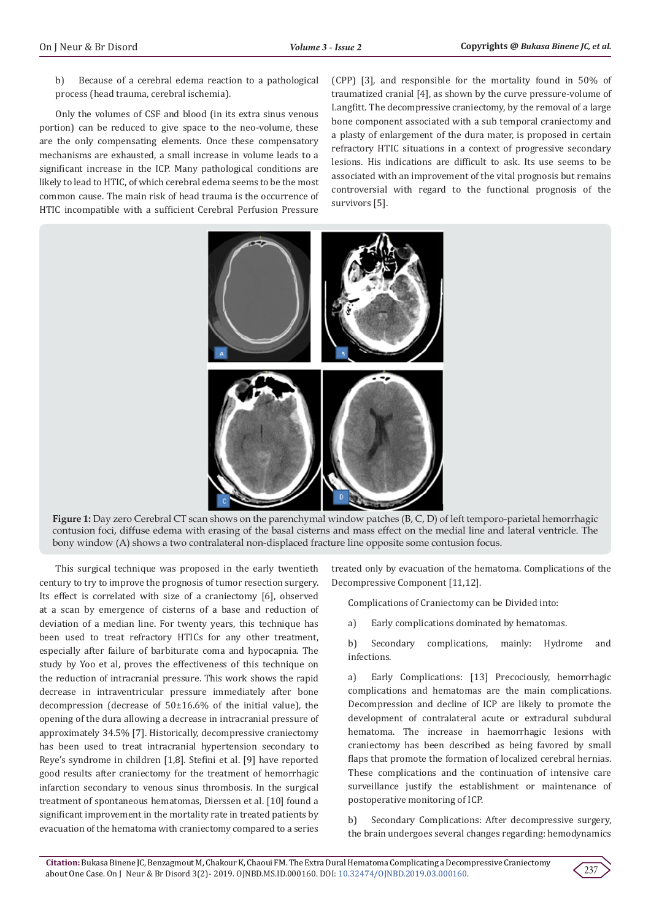b) Because of a cerebral edema reaction to a pathological process (head trauma, cerebral ischemia).

Only the volumes of CSF and blood (in its extra sinus venous portion) can be reduced to give space to the neo-volume, these are the only compensating elements. Once these compensatory mechanisms are exhausted, a small increase in volume leads to a significant increase in the ICP. Many pathological conditions are likely to lead to HTIC, of which cerebral edema seems to be the most common cause. The main risk of head trauma is the occurrence of HTIC incompatible with a sufficient Cerebral Perfusion Pressure

(CPP) [3], and responsible for the mortality found in 50% of traumatized cranial [4], as shown by the curve pressure-volume of Langfitt. The decompressive craniectomy, by the removal of a large bone component associated with a sub temporal craniectomy and a plasty of enlargement of the dura mater, is proposed in certain refractory HTIC situations in a context of progressive secondary lesions. His indications are difficult to ask. Its use seems to be associated with an improvement of the vital prognosis but remains controversial with regard to the functional prognosis of the survivors [5].



**Figure 1:** Day zero Cerebral CT scan shows on the parenchymal window patches (B, C, D) of left temporo-parietal hemorrhagic contusion foci, diffuse edema with erasing of the basal cisterns and mass effect on the medial line and lateral ventricle. The bony window (A) shows a two contralateral non-displaced fracture line opposite some contusion focus.

This surgical technique was proposed in the early twentieth century to try to improve the prognosis of tumor resection surgery. Its effect is correlated with size of a craniectomy [6], observed at a scan by emergence of cisterns of a base and reduction of deviation of a median line. For twenty years, this technique has been used to treat refractory HTICs for any other treatment, especially after failure of barbiturate coma and hypocapnia. The study by Yoo et al, proves the effectiveness of this technique on the reduction of intracranial pressure. This work shows the rapid decrease in intraventricular pressure immediately after bone decompression (decrease of 50±16.6% of the initial value), the opening of the dura allowing a decrease in intracranial pressure of approximately 34.5% [7]. Historically, decompressive craniectomy has been used to treat intracranial hypertension secondary to Reye's syndrome in children [1,8]. Stefini et al. [9] have reported good results after craniectomy for the treatment of hemorrhagic infarction secondary to venous sinus thrombosis. In the surgical treatment of spontaneous hematomas, Dierssen et al. [10] found a significant improvement in the mortality rate in treated patients by evacuation of the hematoma with craniectomy compared to a series

treated only by evacuation of the hematoma. Complications of the Decompressive Component [11,12].

Complications of Craniectomy can be Divided into:

a) Early complications dominated by hematomas.

b) Secondary complications, mainly: Hydrome and infections.

a) Early Complications: [13] Precociously, hemorrhagic complications and hematomas are the main complications. Decompression and decline of ICP are likely to promote the development of contralateral acute or extradural subdural hematoma. The increase in haemorrhagic lesions with craniectomy has been described as being favored by small flaps that promote the formation of localized cerebral hernias. These complications and the continuation of intensive care surveillance justify the establishment or maintenance of postoperative monitoring of ICP.

b) Secondary Complications: After decompressive surgery, the brain undergoes several changes regarding: hemodynamics

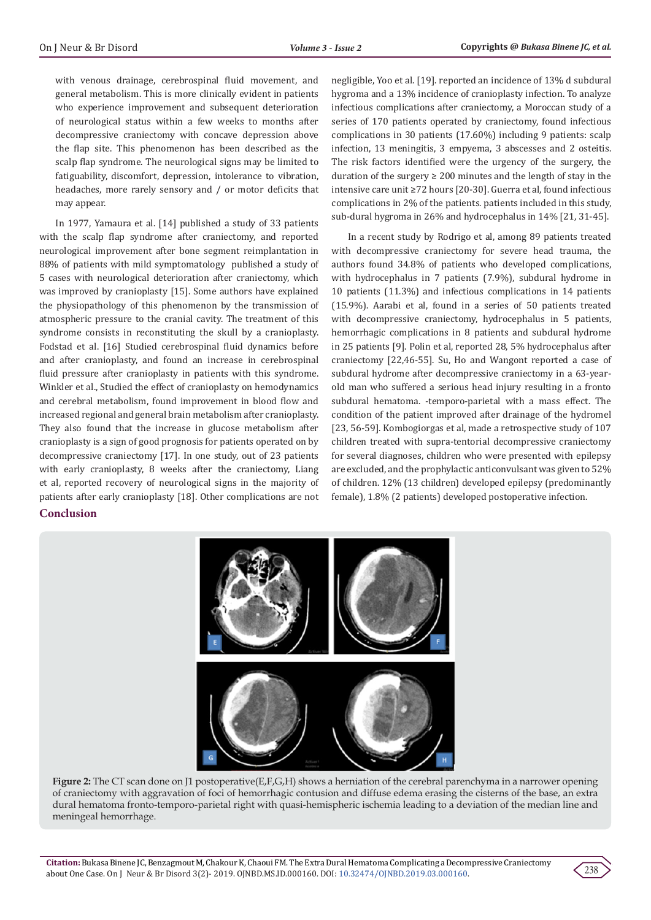with venous drainage, cerebrospinal fluid movement, and general metabolism. This is more clinically evident in patients who experience improvement and subsequent deterioration of neurological status within a few weeks to months after decompressive craniectomy with concave depression above the flap site. This phenomenon has been described as the scalp flap syndrome. The neurological signs may be limited to fatiguability, discomfort, depression, intolerance to vibration, headaches, more rarely sensory and / or motor deficits that may appear.

In 1977, Yamaura et al. [14] published a study of 33 patients with the scalp flap syndrome after craniectomy, and reported neurological improvement after bone segment reimplantation in 88% of patients with mild symptomatology published a study of 5 cases with neurological deterioration after craniectomy, which was improved by cranioplasty [15]. Some authors have explained the physiopathology of this phenomenon by the transmission of atmospheric pressure to the cranial cavity. The treatment of this syndrome consists in reconstituting the skull by a cranioplasty. Fodstad et al. [16] Studied cerebrospinal fluid dynamics before and after cranioplasty, and found an increase in cerebrospinal fluid pressure after cranioplasty in patients with this syndrome. Winkler et al., Studied the effect of cranioplasty on hemodynamics and cerebral metabolism, found improvement in blood flow and increased regional and general brain metabolism after cranioplasty. They also found that the increase in glucose metabolism after cranioplasty is a sign of good prognosis for patients operated on by decompressive craniectomy [17]. In one study, out of 23 patients with early cranioplasty, 8 weeks after the craniectomy, Liang et al, reported recovery of neurological signs in the majority of patients after early cranioplasty [18]. Other complications are not

# **Conclusion**

negligible, Yoo et al. [19]. reported an incidence of 13% d subdural hygroma and a 13% incidence of cranioplasty infection. To analyze infectious complications after craniectomy, a Moroccan study of a series of 170 patients operated by craniectomy, found infectious complications in 30 patients (17.60%) including 9 patients: scalp infection, 13 meningitis, 3 empyema, 3 abscesses and 2 osteitis. The risk factors identified were the urgency of the surgery, the duration of the surgery  $\geq 200$  minutes and the length of stay in the intensive care unit ≥72 hours [20-30]. Guerra et al, found infectious complications in 2% of the patients. patients included in this study, sub-dural hygroma in 26% and hydrocephalus in 14% [21, 31-45].

In a recent study by Rodrigo et al, among 89 patients treated with decompressive craniectomy for severe head trauma, the authors found 34.8% of patients who developed complications, with hydrocephalus in 7 patients (7.9%), subdural hydrome in 10 patients (11.3%) and infectious complications in 14 patients (15.9%). Aarabi et al, found in a series of 50 patients treated with decompressive craniectomy, hydrocephalus in 5 patients, hemorrhagic complications in 8 patients and subdural hydrome in 25 patients [9]. Polin et al, reported 28, 5% hydrocephalus after craniectomy [22,46-55]. Su, Ho and Wangont reported a case of subdural hydrome after decompressive craniectomy in a 63-yearold man who suffered a serious head injury resulting in a fronto subdural hematoma. -temporo-parietal with a mass effect. The condition of the patient improved after drainage of the hydromel [23, 56-59]. Kombogiorgas et al, made a retrospective study of 107 children treated with supra-tentorial decompressive craniectomy for several diagnoses, children who were presented with epilepsy are excluded, and the prophylactic anticonvulsant was given to 52% of children. 12% (13 children) developed epilepsy (predominantly female), 1.8% (2 patients) developed postoperative infection.



**Figure 2:** The CT scan done on J1 postoperative(E,F,G,H) shows a herniation of the cerebral parenchyma in a narrower opening of craniectomy with aggravation of foci of hemorrhagic contusion and diffuse edema erasing the cisterns of the base, an extra dural hematoma fronto-temporo-parietal right with quasi-hemispheric ischemia leading to a deviation of the median line and meningeal hemorrhage.

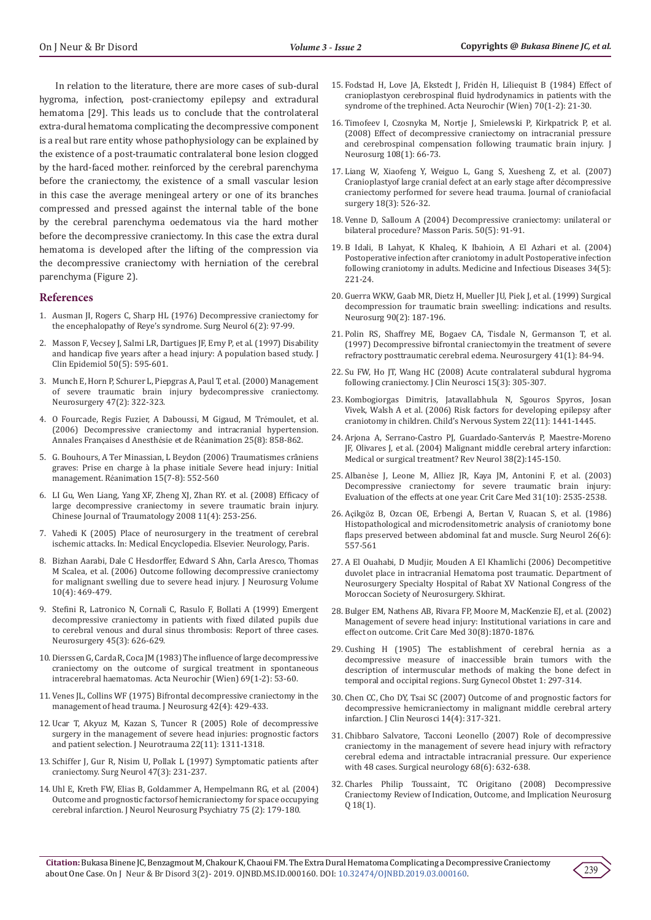In relation to the literature, there are more cases of sub-dural hygroma, infection, post-craniectomy epilepsy and extradural hematoma [29]. This leads us to conclude that the controlateral extra-dural hematoma complicating the decompressive component is a real but rare entity whose pathophysiology can be explained by the existence of a post-traumatic contralateral bone lesion clogged by the hard-faced mother. reinforced by the cerebral parenchyma before the craniectomy, the existence of a small vascular lesion in this case the average meningeal artery or one of its branches compressed and pressed against the internal table of the bone by the cerebral parenchyma oedematous via the hard mother before the decompressive craniectomy. In this case the extra dural hematoma is developed after the lifting of the compression via the decompressive craniectomy with herniation of the cerebral parenchyma (Figure 2).

#### **References**

- 1. [Ausman JI, Rogers C, Sharp HL \(1976\) Decompressive craniectomy for](https://www.ncbi.nlm.nih.gov/pubmed/951659)  [the encephalopathy of Reye's syndrome. Surg Neurol 6\(2\): 97-99.](https://www.ncbi.nlm.nih.gov/pubmed/951659)
- 2. [Masson F, Vecsey J, Salmi LR, Dartigues JF, Erny P, et al. \(1997\) Disability](https://www.ncbi.nlm.nih.gov/pubmed/9180652)  [and handicap five years after a head injury: A population based study. J](https://www.ncbi.nlm.nih.gov/pubmed/9180652)  [Clin Epidemiol 50\(5\): 595-601.](https://www.ncbi.nlm.nih.gov/pubmed/9180652)
- 3. [Munch E, Horn P, Schurer L, Piepgras A, Paul T, et al. \(2000\) Management](https://www.ncbi.nlm.nih.gov/pubmed/10942004)  [of severe traumatic brain injury bydecompressive craniectomy.](https://www.ncbi.nlm.nih.gov/pubmed/10942004)  [Neurosurgery 47\(2\): 322-323.](https://www.ncbi.nlm.nih.gov/pubmed/10942004)
- 4. [O Fourcade, Regis Fuzier, A Daboussi, M Gigaud, M Tr](https://www.researchgate.net/publication/7106084_Decompressive_craniectomy_and_intracranial_hypertension)émoulet, et al. [\(2006\) Decompressive craniectomy and intracranial hypertension.](https://www.researchgate.net/publication/7106084_Decompressive_craniectomy_and_intracranial_hypertension)  Annales Françaises d Anesthésie et de Ré[animation 25\(8\): 858-862.](https://www.researchgate.net/publication/7106084_Decompressive_craniectomy_and_intracranial_hypertension)
- 5. [G. Bouhours, A Ter Minassian, L Beydon \(2006\) Traumatismes crâniens](https://www.srlf.org/wp-content/uploads/2015/11/0612-Reanimation-Vol15-N7-8-p552_560.pdf)  [graves: Prise en charge à la phase initiale Severe head injury: Initial](https://www.srlf.org/wp-content/uploads/2015/11/0612-Reanimation-Vol15-N7-8-p552_560.pdf)  management. Ré[animation 15\(7-8\): 552-560](https://www.srlf.org/wp-content/uploads/2015/11/0612-Reanimation-Vol15-N7-8-p552_560.pdf)
- 6. [LI Gu, Wen Liang, Yang XF, Zheng XJ, Zhan RY. et al. \(2008\) Efficacy of](https://www.ncbi.nlm.nih.gov/pubmed/18667125)  [large decompressive craniectomy in severe traumatic brain injury.](https://www.ncbi.nlm.nih.gov/pubmed/18667125)  [Chinese Journal of Traumatology 2008 11\(4\): 253-256.](https://www.ncbi.nlm.nih.gov/pubmed/18667125)
- 7. Vahedi K (2005) Place of neurosurgery in the treatment of cerebral ischemic attacks. In: Medical Encyclopedia. Elsevier. Neurology, Paris.
- 8. [Bizhan Aarabi, Dale C Hesdorffer, Edward S Ahn, Carla Aresco, Thomas](https://www.ncbi.nlm.nih.gov/pubmed/16619648)  [M Scalea, et al. \(2006\) Outcome following decompressive craniectomy](https://www.ncbi.nlm.nih.gov/pubmed/16619648)  [for malignant swelling due to severe head injury. J Neurosurg Volume](https://www.ncbi.nlm.nih.gov/pubmed/16619648)  [10\(4\): 469-479.](https://www.ncbi.nlm.nih.gov/pubmed/16619648)
- 9. [Stefini R, Latronico N, Cornali C, Rasulo F, Bollati A \(1999\) Emergent](https://www.ncbi.nlm.nih.gov/pubmed/10493383)  [decompressive craniectomy in patients with fixed dilated pupils due](https://www.ncbi.nlm.nih.gov/pubmed/10493383)  [to cerebral venous and dural sinus thrombosis: Report of three cases.](https://www.ncbi.nlm.nih.gov/pubmed/10493383)  [Neurosurgery 45\(3\): 626-629.](https://www.ncbi.nlm.nih.gov/pubmed/10493383)
- 10. [Dierssen G, Carda R, Coca JM \(1983\) The influence of large decompressive](https://www.ncbi.nlm.nih.gov/pubmed/6624556)  [craniectomy on the outcome of surgical treatment in spontaneous](https://www.ncbi.nlm.nih.gov/pubmed/6624556)  [intracerebral haematomas. Acta Neurochir \(Wien\) 69\(1-2\): 53-60.](https://www.ncbi.nlm.nih.gov/pubmed/6624556)
- 11. [Venes JL, Collins WF \(1975\) Bifrontal decompressive craniectomy in the](https://www.ncbi.nlm.nih.gov/pubmed/1123660)  [management of head trauma. J Neurosurg 42\(4\): 429-433.](https://www.ncbi.nlm.nih.gov/pubmed/1123660)
- 12. [Ucar T, Akyuz M, Kazan S, Tuncer R \(2005\) Role of decompressive](https://www.ncbi.nlm.nih.gov/pubmed/16305319)  [surgery in the management of severe head injuries: prognostic factors](https://www.ncbi.nlm.nih.gov/pubmed/16305319)  [and patient selection. J Neurotrauma 22\(11\): 1311-1318.](https://www.ncbi.nlm.nih.gov/pubmed/16305319)
- 13. [Schiffer J, Gur R, Nisim U, Pollak L \(1997\) Symptomatic patients after](https://www.ncbi.nlm.nih.gov/pubmed/9068692)  [craniectomy. Surg Neurol 47\(3\): 231-237.](https://www.ncbi.nlm.nih.gov/pubmed/9068692)
- 14. [Uhl E, Kreth FW, Elias B, Goldammer A, Hempelmann RG, et al. \(2004\)](https://www.ncbi.nlm.nih.gov/pubmed/14742603)  [Outcome and prognostic factorsof hemicraniectomy for space occupying](https://www.ncbi.nlm.nih.gov/pubmed/14742603)  [cerebral infarction. J Neurol Neurosurg Psychiatry 75 \(2\): 179-180.](https://www.ncbi.nlm.nih.gov/pubmed/14742603)
- 15. [Fodstad H, Love JA, Ekstedt J, Frid](https://www.ncbi.nlm.nih.gov/pubmed/6741628)én H, Liliequist B (1984) Effect of [cranioplastyon cerebrospinal fluid hydrodynamics in patients with the](https://www.ncbi.nlm.nih.gov/pubmed/6741628) [syndrome of the trephined. Acta Neurochir \(Wien\) 70\(1-2\): 21-30.](https://www.ncbi.nlm.nih.gov/pubmed/6741628)
- 16. [Timofeev I, Czosnyka M, Nortje J, Smielewski P, Kirkpatrick P, et al.](https://www.ncbi.nlm.nih.gov/pubmed/18173312) [\(2008\) Effect of decompressive craniectomy on intracranial pressure](https://www.ncbi.nlm.nih.gov/pubmed/18173312) [and cerebrospinal compensation following traumatic brain injury. J](https://www.ncbi.nlm.nih.gov/pubmed/18173312) [Neurosurg 108\(1\): 66-73.](https://www.ncbi.nlm.nih.gov/pubmed/18173312)
- 17. [Liang W, Xiaofeng Y, Weiguo L, Gang S, Xuesheng Z, et al. \(2007\)](https://www.ncbi.nlm.nih.gov/pubmed/17538313) [Cranioplastyof large cranial defect at an early stage after d](https://www.ncbi.nlm.nih.gov/pubmed/17538313)écompressive [craniectomy performed for severe head trauma. Journal of craniofacial](https://www.ncbi.nlm.nih.gov/pubmed/17538313) [surgery 18\(3\): 526-32.](https://www.ncbi.nlm.nih.gov/pubmed/17538313)
- 18. Venne D, Salloum A (2004) Decompressive craniectomy: unilateral or bilateral procedure? Masson Paris. 50(5): 91-91.
- 19. [B Idali, B Lahyat, K Khaleq, K Ibahioin, A El Azhari et al. \(2004\)](https://www.sciencedirect.com/science/article/pii/S0399077X04000654) [Postoperative infection after craniotomy in adult Postoperative infection](https://www.sciencedirect.com/science/article/pii/S0399077X04000654) [following craniotomy in adults. Medicine and Infectious Diseases 34\(5\):](https://www.sciencedirect.com/science/article/pii/S0399077X04000654) [221-24.](https://www.sciencedirect.com/science/article/pii/S0399077X04000654)
- 20. [Guerra WKW, Gaab MR, Dietz H, Mueller JU, Piek J, et al. \(1999\) Surgical](https://www.ncbi.nlm.nih.gov/pubmed/9950487) [decompression for traumatic brain sweelling: indications and results.](https://www.ncbi.nlm.nih.gov/pubmed/9950487) [Neurosurg 90\(2\): 187-196.](https://www.ncbi.nlm.nih.gov/pubmed/9950487)
- 21. [Polin RS, Shaffrey ME, Bogaev CA, Tisdale N, Germanson T, et al.](https://www.ncbi.nlm.nih.gov/pubmed/9218299) [\(1997\) Decompressive bifrontal craniectomyin the treatment of severe](https://www.ncbi.nlm.nih.gov/pubmed/9218299) [refractory posttraumatic cerebral edema. Neurosurgery 41\(1\): 84-94.](https://www.ncbi.nlm.nih.gov/pubmed/9218299)
- 22. [Su FW, Ho JT, Wang HC \(2008\) Acute contralateral subdural hygroma](https://www.ncbi.nlm.nih.gov/pubmed/18182295) [following craniectomy. J Clin Neurosci 15\(3\): 305-307.](https://www.ncbi.nlm.nih.gov/pubmed/18182295)
- 23. Kombogiorgas Dimitris, Jatavallabhula N, Sgouros Spyros, Josan Vivek, Walsh A et al. (2006) Risk factors for developing epilepsy after craniotomy in children. Child's Nervous System 22(11): 1441-1445.
- 24. [Arjona A, Serrano-Castro PJ, Guardado-Santerv](https://www.ncbi.nlm.nih.gov/pubmed/14752715)ás P, Maestre-Moreno [JF, Olivares J, et al. \(2004\) Malignant middle cerebral artery infarction:](https://www.ncbi.nlm.nih.gov/pubmed/14752715) [Medical or surgical treatment? Rev Neurol 38\(2\):145-150.](https://www.ncbi.nlm.nih.gov/pubmed/14752715)
- 25. Albanè[se J, Leone M, Alliez JR, Kaya JM, Antonini F, et al. \(2003\)](https://www.ncbi.nlm.nih.gov/pubmed/14530763) [Decompressive craniectomy for severe traumatic brain injury:](https://www.ncbi.nlm.nih.gov/pubmed/14530763) [Evaluation of the effects at one year. Crit Care Med 31\(10\): 2535-2538.](https://www.ncbi.nlm.nih.gov/pubmed/14530763)
- 26. Açikgö[z B, Ozcan OE, Erbengi A, Bertan V, Ruacan S, et al. \(1986\)](https://www.ncbi.nlm.nih.gov/pubmed/2946089) [Histopathological and microdensitometric analysis of craniotomy bone](https://www.ncbi.nlm.nih.gov/pubmed/2946089) [flaps preserved between abdominal fat and muscle. Surg Neurol 26\(6\):](https://www.ncbi.nlm.nih.gov/pubmed/2946089) [557-561](https://www.ncbi.nlm.nih.gov/pubmed/2946089)
- 27. A El Ouahabi, D Mudjir, Mouden A El Khamlichi (2006) Decompetitive duvolet place in intracranial Hematoma post traumatic. Department of Neurosurgery Specialty Hospital of Rabat XV National Congress of the Moroccan Society of Neurosurgery. Skhirat.
- 28. [Bulger EM, Nathens AB, Rivara FP, Moore M, MacKenzie EJ, et al. \(2002\)](https://www.ncbi.nlm.nih.gov/pubmed/12163808) [Management of severe head injury: Institutional variations in care and](https://www.ncbi.nlm.nih.gov/pubmed/12163808) [effect on outcome. Crit Care Med 30\(8\):1870-1876.](https://www.ncbi.nlm.nih.gov/pubmed/12163808)
- 29. [Cushing H \(1905\) The establishment of cerebral hernia as a](https://www.worldcat.org/title/establishment-of-cerebral-hernia-as-a-decompressive-measure-for-inaccessible-brain-tumors-with-the-description-of-intermuscular-methods-of-making-the-bone-defect-in-temporal-and-occipital-regions/oclc/13351236) [decompressive measure of inaccessible brain tumors with the](https://www.worldcat.org/title/establishment-of-cerebral-hernia-as-a-decompressive-measure-for-inaccessible-brain-tumors-with-the-description-of-intermuscular-methods-of-making-the-bone-defect-in-temporal-and-occipital-regions/oclc/13351236) [description of intermuscular methods of making the bone defect in](https://www.worldcat.org/title/establishment-of-cerebral-hernia-as-a-decompressive-measure-for-inaccessible-brain-tumors-with-the-description-of-intermuscular-methods-of-making-the-bone-defect-in-temporal-and-occipital-regions/oclc/13351236) [temporal and occipital regions. Surg Gynecol Obstet 1: 297-314.](https://www.worldcat.org/title/establishment-of-cerebral-hernia-as-a-decompressive-measure-for-inaccessible-brain-tumors-with-the-description-of-intermuscular-methods-of-making-the-bone-defect-in-temporal-and-occipital-regions/oclc/13351236)
- 30. [Chen CC, Cho DY, Tsai SC \(2007\) Outcome of and prognostic factors for](https://www.ncbi.nlm.nih.gov/pubmed/17275311) [decompressive hemicraniectomy in malignant middle cerebral artery](https://www.ncbi.nlm.nih.gov/pubmed/17275311) [infarction. J Clin Neurosci 14\(4\): 317-321.](https://www.ncbi.nlm.nih.gov/pubmed/17275311)
- 31. [Chibbaro Salvatore, Tacconi Leonello \(2007\) Role of decompressive](https://www.ncbi.nlm.nih.gov/pubmed/17765952) [craniectomy in the management of severe head injury with refractory](https://www.ncbi.nlm.nih.gov/pubmed/17765952) [cerebral edema and intractable intracranial pressure. Our experience](https://www.ncbi.nlm.nih.gov/pubmed/17765952) [with 48 cases. Surgical neurology 68\(6\): 632-638.](https://www.ncbi.nlm.nih.gov/pubmed/17765952)
- 32. Charles Philip Toussaint, TC Origitano (2008) Decompressive Craniectomy Review of Indication, Outcome, and Implication Neurosurg Q 18(1).